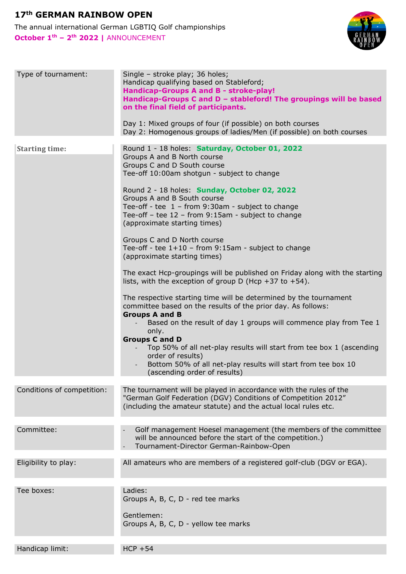## **17th GERMAN RAINBOW OPEN**

The annual international German LGBTIQ Golf championships **October 1th – 2th 2022 |** ANNOUNCEMENT



| Type of tournament:        | Single - stroke play; 36 holes;<br>Handicap qualifying based on Stableford;<br>Handicap-Groups A and B - stroke-play!<br>Handicap-Groups C and D - stableford! The groupings will be based<br>on the final field of participants.<br>Day 1: Mixed groups of four (if possible) on both courses<br>Day 2: Homogenous groups of ladies/Men (if possible) on both courses                                                                                          |
|----------------------------|-----------------------------------------------------------------------------------------------------------------------------------------------------------------------------------------------------------------------------------------------------------------------------------------------------------------------------------------------------------------------------------------------------------------------------------------------------------------|
| <b>Starting time:</b>      | Round 1 - 18 holes: Saturday, October 01, 2022<br>Groups A and B North course<br>Groups C and D South course                                                                                                                                                                                                                                                                                                                                                    |
|                            | Tee-off 10:00am shotgun - subject to change<br>Round 2 - 18 holes: Sunday, October 02, 2022<br>Groups A and B South course<br>Tee-off - tee $1$ - from 9:30am - subject to change<br>Tee-off - tee 12 - from 9:15am - subject to change<br>(approximate starting times)                                                                                                                                                                                         |
|                            | Groups C and D North course<br>Tee-off - tee $1+10$ – from 9:15am - subject to change<br>(approximate starting times)                                                                                                                                                                                                                                                                                                                                           |
|                            | The exact Hcp-groupings will be published on Friday along with the starting<br>lists, with the exception of group D (Hcp +37 to +54).                                                                                                                                                                                                                                                                                                                           |
|                            | The respective starting time will be determined by the tournament<br>committee based on the results of the prior day. As follows:<br><b>Groups A and B</b><br>Based on the result of day 1 groups will commence play from Tee 1<br>only.<br><b>Groups C and D</b><br>Top 50% of all net-play results will start from tee box 1 (ascending<br>order of results)<br>Bottom 50% of all net-play results will start from tee box 10<br>(ascending order of results) |
|                            |                                                                                                                                                                                                                                                                                                                                                                                                                                                                 |
| Conditions of competition: | The tournament will be played in accordance with the rules of the<br>"German Golf Federation (DGV) Conditions of Competition 2012"<br>(including the amateur statute) and the actual local rules etc.                                                                                                                                                                                                                                                           |
| Committee:                 | Golf management Hoesel management (the members of the committee<br>will be announced before the start of the competition.)<br>Tournament-Director German-Rainbow-Open                                                                                                                                                                                                                                                                                           |
| Eligibility to play:       | All amateurs who are members of a registered golf-club (DGV or EGA).                                                                                                                                                                                                                                                                                                                                                                                            |
| Tee boxes:                 | Ladies:                                                                                                                                                                                                                                                                                                                                                                                                                                                         |
|                            | Groups A, B, C, D - red tee marks                                                                                                                                                                                                                                                                                                                                                                                                                               |
|                            | Gentlemen:<br>Groups A, B, C, D - yellow tee marks                                                                                                                                                                                                                                                                                                                                                                                                              |
| Handicap limit:            | $HCP + 54$                                                                                                                                                                                                                                                                                                                                                                                                                                                      |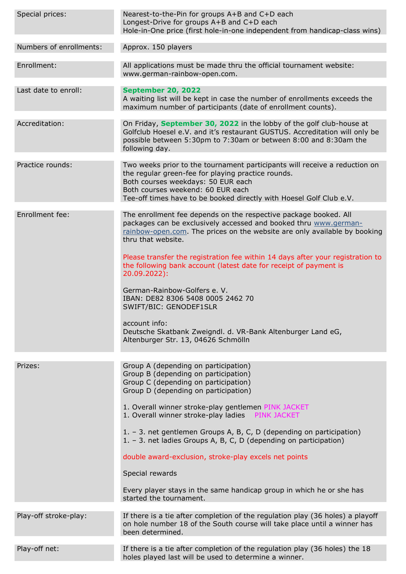| Special prices:         | Nearest-to-the-Pin for groups A+B and C+D each<br>Longest-Drive for groups A+B and C+D each<br>Hole-in-One price (first hole-in-one independent from handicap-class wins)                                                                                                          |
|-------------------------|------------------------------------------------------------------------------------------------------------------------------------------------------------------------------------------------------------------------------------------------------------------------------------|
| Numbers of enrollments: | Approx. 150 players                                                                                                                                                                                                                                                                |
| Enrollment:             | All applications must be made thru the official tournament website:<br>www.german-rainbow-open.com.                                                                                                                                                                                |
| Last date to enroll:    | <b>September 20, 2022</b><br>A waiting list will be kept in case the number of enrollments exceeds the<br>maximum number of participants (date of enrollment counts).                                                                                                              |
| Accreditation:          | On Friday, September 30, 2022 in the lobby of the golf club-house at<br>Golfclub Hoesel e.V. and it's restaurant GUSTUS. Accreditation will only be<br>possible between 5:30pm to 7:30am or between 8:00 and 8:30am the<br>following day.                                          |
| Practice rounds:        | Two weeks prior to the tournament participants will receive a reduction on<br>the regular green-fee for playing practice rounds.<br>Both courses weekdays: 50 EUR each<br>Both courses weekend: 60 EUR each<br>Tee-off times have to be booked directly with Hoesel Golf Club e.V. |
| Enrollment fee:         | The enrollment fee depends on the respective package booked. All<br>packages can be exclusively accessed and booked thru www.german-<br>rainbow-open.com. The prices on the website are only available by booking<br>thru that website.                                            |
|                         | Please transfer the registration fee within 14 days after your registration to<br>the following bank account (latest date for receipt of payment is<br>20.09.2022):                                                                                                                |
|                         | German-Rainbow-Golfers e. V.<br>IBAN: DE82 8306 5408 0005 2462 70<br>SWIFT/BIC: GENODEF1SLR                                                                                                                                                                                        |
|                         | account info:<br>Deutsche Skatbank Zweigndl. d. VR-Bank Altenburger Land eG,<br>Altenburger Str. 13, 04626 Schmölln                                                                                                                                                                |
| Prizes:                 | Group A (depending on participation)                                                                                                                                                                                                                                               |
|                         | Group B (depending on participation)<br>Group C (depending on participation)<br>Group D (depending on participation)                                                                                                                                                               |
|                         | 1. Overall winner stroke-play gentlemen PINK JACKET<br>1. Overall winner stroke-play ladies PINK JACKET                                                                                                                                                                            |
|                         | 1. - 3. net gentlemen Groups A, B, C, D (depending on participation)<br>1. - 3. net ladies Groups A, B, C, D (depending on participation)                                                                                                                                          |
|                         | double award-exclusion, stroke-play excels net points                                                                                                                                                                                                                              |
|                         | Special rewards                                                                                                                                                                                                                                                                    |
|                         | Every player stays in the same handicap group in which he or she has<br>started the tournament.                                                                                                                                                                                    |
| Play-off stroke-play:   | If there is a tie after completion of the regulation play (36 holes) a playoff<br>on hole number 18 of the South course will take place until a winner has<br>been determined.                                                                                                     |
| Play-off net:           | If there is a tie after completion of the regulation play (36 holes) the 18<br>holes played last will be used to determine a winner.                                                                                                                                               |
|                         |                                                                                                                                                                                                                                                                                    |